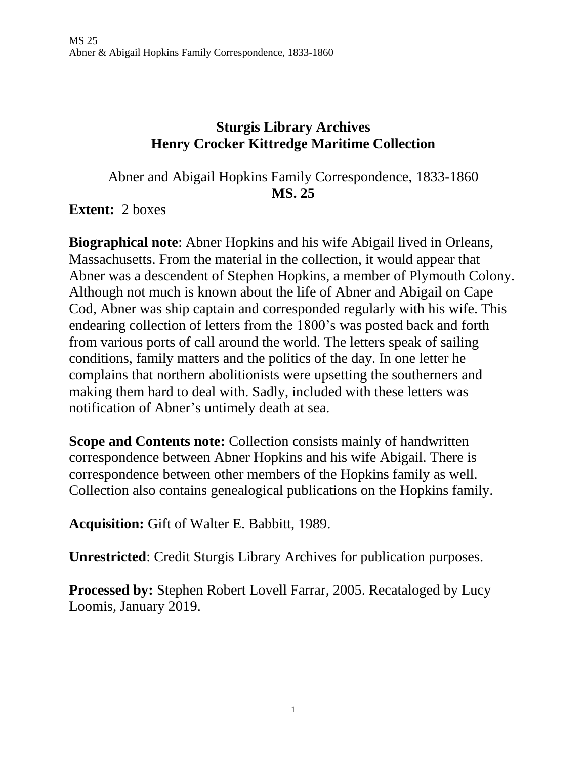# **Sturgis Library Archives Henry Crocker Kittredge Maritime Collection**

Abner and Abigail Hopkins Family Correspondence, 1833-1860 **MS. 25**

**Extent:** 2 boxes

**Biographical note**: Abner Hopkins and his wife Abigail lived in Orleans, Massachusetts. From the material in the collection, it would appear that Abner was a descendent of Stephen Hopkins, a member of Plymouth Colony. Although not much is known about the life of Abner and Abigail on Cape Cod, Abner was ship captain and corresponded regularly with his wife. This endearing collection of letters from the 1800's was posted back and forth from various ports of call around the world. The letters speak of sailing conditions, family matters and the politics of the day. In one letter he complains that northern abolitionists were upsetting the southerners and making them hard to deal with. Sadly, included with these letters was notification of Abner's untimely death at sea.

**Scope and Contents note:** Collection consists mainly of handwritten correspondence between Abner Hopkins and his wife Abigail. There is correspondence between other members of the Hopkins family as well. Collection also contains genealogical publications on the Hopkins family.

**Acquisition:** Gift of Walter E. Babbitt, 1989.

**Unrestricted**: Credit Sturgis Library Archives for publication purposes.

**Processed by:** Stephen Robert Lovell Farrar, 2005. Recataloged by Lucy Loomis, January 2019.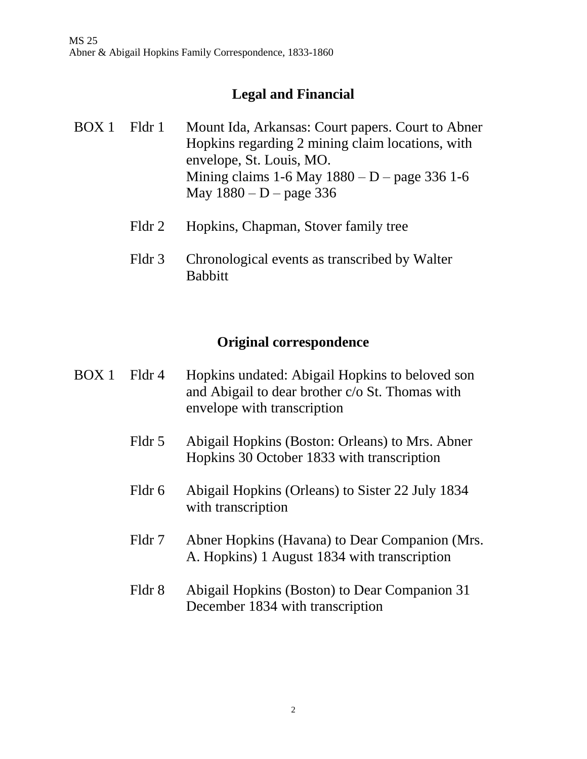# **Legal and Financial**

- BOX 1 Fldr 1 Mount Ida, Arkansas: Court papers. Court to Abner Hopkins regarding 2 mining claim locations, with envelope, St. Louis, MO. Mining claims  $1-6$  May  $1880 - D$  – page 336  $1-6$ May  $1880 - D$  – page 336
	- Fldr 2 Hopkins, Chapman, Stover family tree
	- Fldr 3 Chronological events as transcribed by Walter Babbitt

#### **Original correspondence**

- BOX 1 Fldr 4 Hopkins undated: Abigail Hopkins to beloved son and Abigail to dear brother c/o St. Thomas with envelope with transcription
	- Fldr 5 Abigail Hopkins (Boston: Orleans) to Mrs. Abner Hopkins 30 October 1833 with transcription
	- Fldr 6 Abigail Hopkins (Orleans) to Sister 22 July 1834 with transcription
	- Fldr 7 Abner Hopkins (Havana) to Dear Companion (Mrs. A. Hopkins) 1 August 1834 with transcription
	- Fldr 8 Abigail Hopkins (Boston) to Dear Companion 31 December 1834 with transcription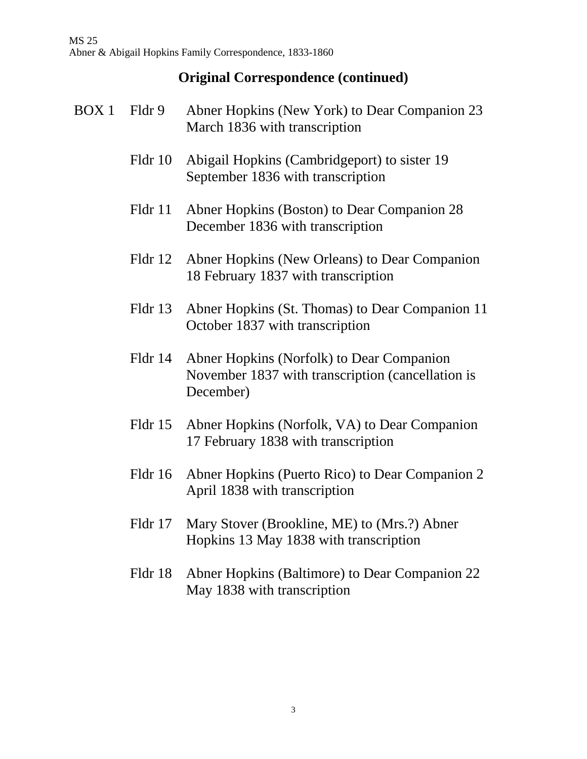MS 25 Abner & Abigail Hopkins Family Correspondence, 1833-1860

# **Original Correspondence (continued)**

| BOX 1 | Fldr 9  | Abner Hopkins (New York) to Dear Companion 23<br>March 1836 with transcription                              |
|-------|---------|-------------------------------------------------------------------------------------------------------------|
|       | Fldr 10 | Abigail Hopkins (Cambridgeport) to sister 19<br>September 1836 with transcription                           |
|       | Fldr 11 | Abner Hopkins (Boston) to Dear Companion 28<br>December 1836 with transcription                             |
|       | Fldr 12 | Abner Hopkins (New Orleans) to Dear Companion<br>18 February 1837 with transcription                        |
|       | Fldr 13 | Abner Hopkins (St. Thomas) to Dear Companion 11<br>October 1837 with transcription                          |
|       | Fldr 14 | Abner Hopkins (Norfolk) to Dear Companion<br>November 1837 with transcription (cancellation is<br>December) |
|       | Fldr 15 | Abner Hopkins (Norfolk, VA) to Dear Companion<br>17 February 1838 with transcription                        |
|       | Fldr 16 | Abner Hopkins (Puerto Rico) to Dear Companion 2<br>April 1838 with transcription                            |
|       | Fldr 17 | Mary Stover (Brookline, ME) to (Mrs.?) Abner<br>Hopkins 13 May 1838 with transcription                      |

Fldr 18 Abner Hopkins (Baltimore) to Dear Companion 22 May 1838 with transcription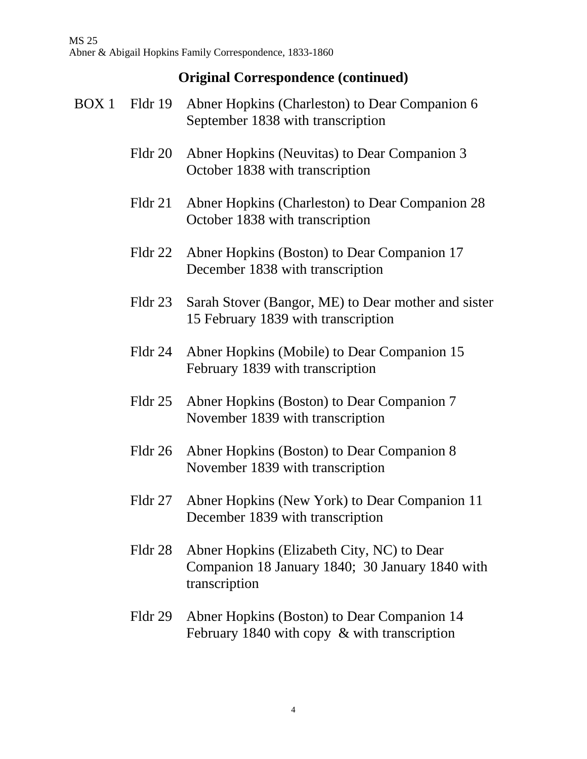- BOX 1 Fldr 19 Abner Hopkins (Charleston) to Dear Companion 6 September 1838 with transcription Fldr 20 Abner Hopkins (Neuvitas) to Dear Companion 3 October 1838 with transcription Fldr 21 Abner Hopkins (Charleston) to Dear Companion 28 October 1838 with transcription Fldr 22 Abner Hopkins (Boston) to Dear Companion 17 December 1838 with transcription Fldr 23 Sarah Stover (Bangor, ME) to Dear mother and sister 15 February 1839 with transcription Fldr 24 Abner Hopkins (Mobile) to Dear Companion 15 February 1839 with transcription Fldr 25 Abner Hopkins (Boston) to Dear Companion 7 November 1839 with transcription Fldr 26 Abner Hopkins (Boston) to Dear Companion 8 November 1839 with transcription Fldr 27 Abner Hopkins (New York) to Dear Companion 11 December 1839 with transcription
	- Fldr 28 Abner Hopkins (Elizabeth City, NC) to Dear Companion 18 January 1840; 30 January 1840 with transcription
	- Fldr 29 Abner Hopkins (Boston) to Dear Companion 14 February 1840 with copy & with transcription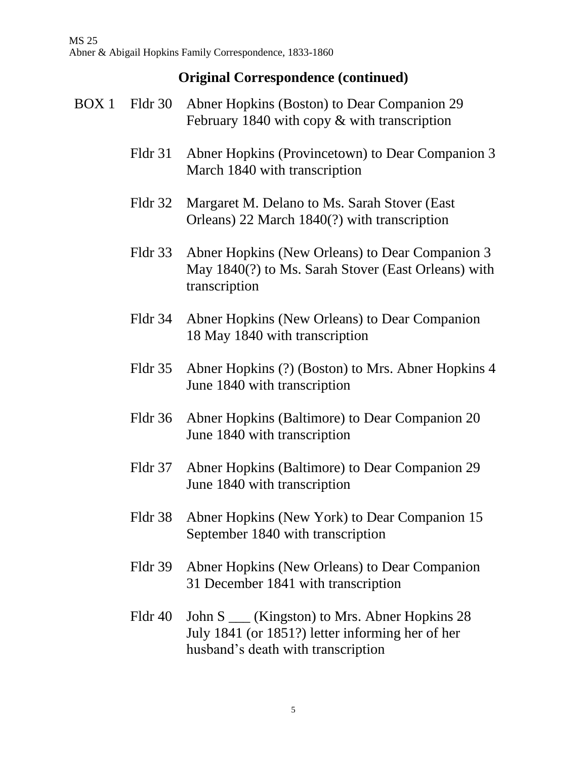- BOX 1 Fldr 30 Abner Hopkins (Boston) to Dear Companion 29 February 1840 with copy & with transcription Fldr 31 Abner Hopkins (Provincetown) to Dear Companion 3 March 1840 with transcription Fldr 32 Margaret M. Delano to Ms. Sarah Stover (East Orleans) 22 March 1840(?) with transcription Fldr 33 Abner Hopkins (New Orleans) to Dear Companion 3 May 1840(?) to Ms. Sarah Stover (East Orleans) with transcription Fldr 34 Abner Hopkins (New Orleans) to Dear Companion 18 May 1840 with transcription Fldr 35 Abner Hopkins (?) (Boston) to Mrs. Abner Hopkins 4 June 1840 with transcription
	- Fldr 36 Abner Hopkins (Baltimore) to Dear Companion 20 June 1840 with transcription
	- Fldr 37 Abner Hopkins (Baltimore) to Dear Companion 29 June 1840 with transcription
	- Fldr 38 Abner Hopkins (New York) to Dear Companion 15 September 1840 with transcription
	- Fldr 39 Abner Hopkins (New Orleans) to Dear Companion 31 December 1841 with transcription
	- Fldr 40 John S (Kingston) to Mrs. Abner Hopkins 28 July 1841 (or 1851?) letter informing her of her husband's death with transcription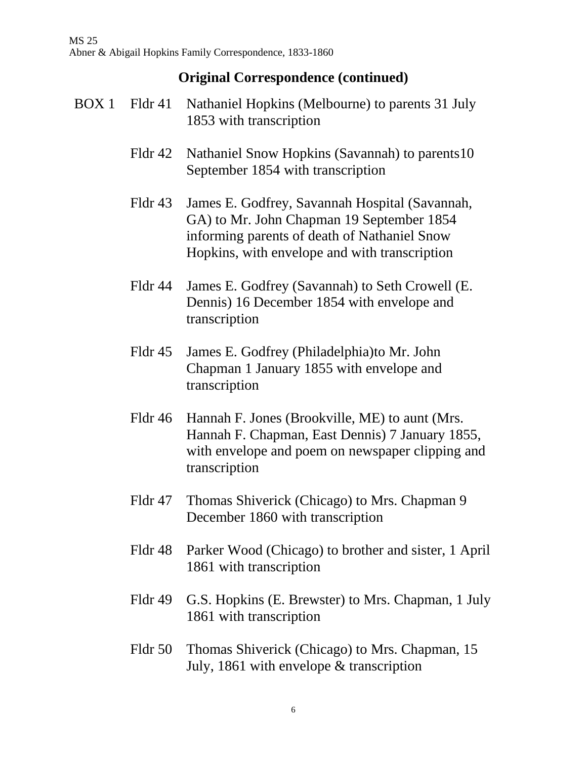MS 25 Abner & Abigail Hopkins Family Correspondence, 1833-1860

- BOX 1 Fldr 41 Nathaniel Hopkins (Melbourne) to parents 31 July 1853 with transcription
	- Fldr 42 Nathaniel Snow Hopkins (Savannah) to parents10 September 1854 with transcription
	- Fldr 43 James E. Godfrey, Savannah Hospital (Savannah, GA) to Mr. John Chapman 19 September 1854 informing parents of death of Nathaniel Snow Hopkins, with envelope and with transcription
	- Fldr 44 James E. Godfrey (Savannah) to Seth Crowell (E. Dennis) 16 December 1854 with envelope and transcription
	- Fldr 45 James E. Godfrey (Philadelphia)to Mr. John Chapman 1 January 1855 with envelope and transcription
	- Fldr 46 Hannah F. Jones (Brookville, ME) to aunt (Mrs. Hannah F. Chapman, East Dennis) 7 January 1855, with envelope and poem on newspaper clipping and transcription
	- Fldr 47 Thomas Shiverick (Chicago) to Mrs. Chapman 9 December 1860 with transcription
	- Fldr 48 Parker Wood (Chicago) to brother and sister, 1 April 1861 with transcription
	- Fldr 49 G.S. Hopkins (E. Brewster) to Mrs. Chapman, 1 July 1861 with transcription
	- Fldr 50 Thomas Shiverick (Chicago) to Mrs. Chapman, 15 July, 1861 with envelope & transcription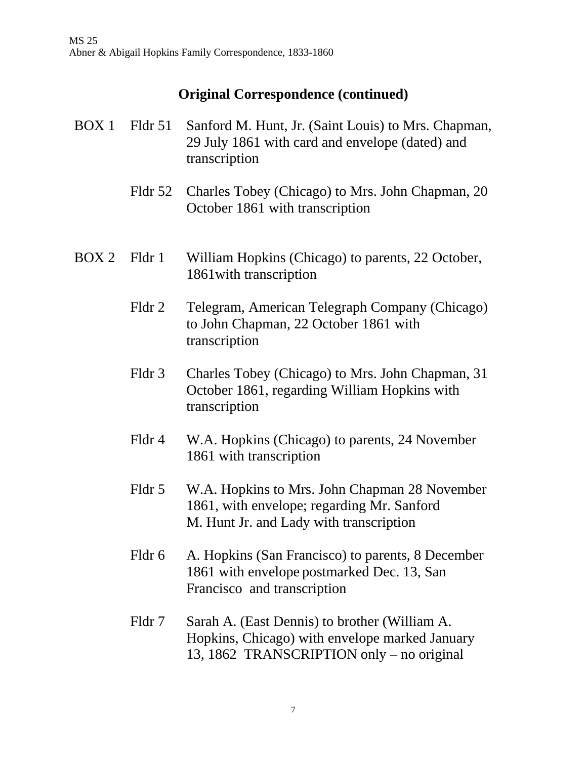- BOX 1 Fldr 51 Sanford M. Hunt, Jr. (Saint Louis) to Mrs. Chapman, 29 July 1861 with card and envelope (dated) and transcription
	- Fldr 52 Charles Tobey (Chicago) to Mrs. John Chapman, 20 October 1861 with transcription
- BOX 2 Fldr 1 William Hopkins (Chicago) to parents, 22 October, 1861with transcription
	- Fldr 2 Telegram, American Telegraph Company (Chicago) to John Chapman, 22 October 1861 with transcription
	- Fldr 3 Charles Tobey (Chicago) to Mrs. John Chapman, 31 October 1861, regarding William Hopkins with transcription
	- Fldr 4 W.A. Hopkins (Chicago) to parents, 24 November 1861 with transcription
	- Fldr 5 W.A. Hopkins to Mrs. John Chapman 28 November 1861, with envelope; regarding Mr. Sanford M. Hunt Jr. and Lady with transcription
	- Fldr 6 A. Hopkins (San Francisco) to parents, 8 December 1861 with envelope postmarked Dec. 13, San Francisco and transcription
	- Fldr 7 Sarah A. (East Dennis) to brother (William A. Hopkins, Chicago) with envelope marked January 13, 1862 TRANSCRIPTION only – no original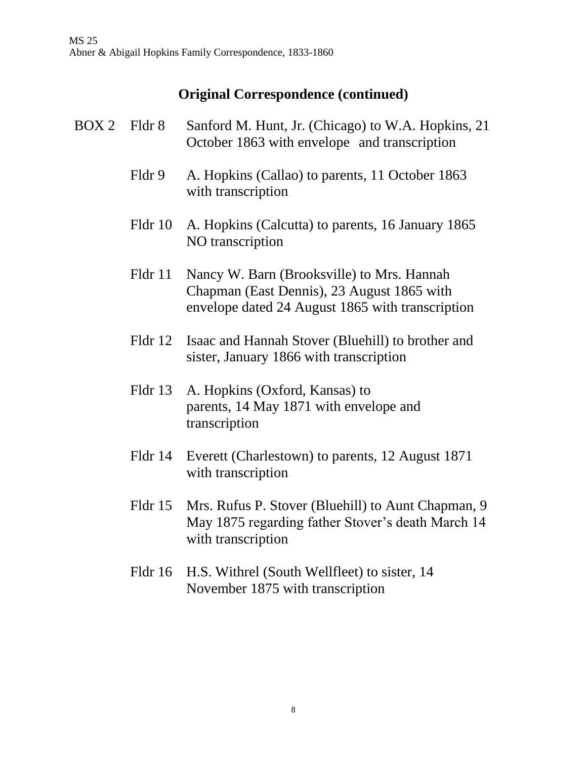- BOX 2 Fldr 8 Sanford M. Hunt, Jr. (Chicago) to W.A. Hopkins, 21 October 1863 with envelope and transcription
	- Fldr 9 A. Hopkins (Callao) to parents, 11 October 1863 with transcription
	- Fldr 10 A. Hopkins (Calcutta) to parents, 16 January 1865 NO transcription
	- Fldr 11 Nancy W. Barn (Brooksville) to Mrs. Hannah Chapman (East Dennis), 23 August 1865 with envelope dated 24 August 1865 with transcription
	- Fldr 12 Isaac and Hannah Stover (Bluehill) to brother and sister, January 1866 with transcription
	- Fldr 13 A. Hopkins (Oxford, Kansas) to parents, 14 May 1871 with envelope and transcription
	- Fldr 14 Everett (Charlestown) to parents, 12 August 1871 with transcription
	- Fldr 15 Mrs. Rufus P. Stover (Bluehill) to Aunt Chapman, 9 May 1875 regarding father Stover's death March 14 with transcription
	- Fldr 16 H.S. Withrel (South Wellfleet) to sister, 14 November 1875 with transcription